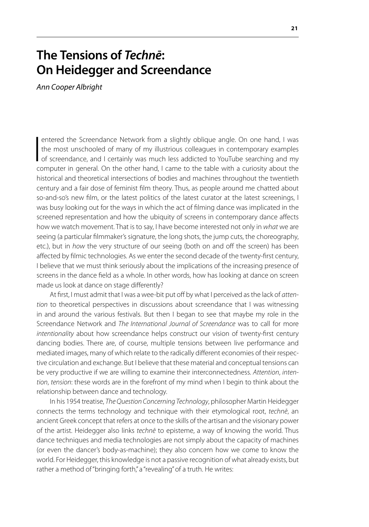## **The Tensions of** *Technē***: On Heidegger and Screendance**

*Ann Cooper Albright* 

I entered the Screendance Network from a slightly oblique angle. On one hand, I was<br>the most unschooled of many of my illustrious colleagues in contemporary examples<br>of screendance, and I certainly was much less addicted t the most unschooled of many of my illustrious colleagues in contemporary examples of screendance, and I certainly was much less addicted to YouTube searching and my computer in general. On the other hand, I came to the table with a curiosity about the historical and theoretical intersections of bodies and machines throughout the twentieth century and a fair dose of feminist film theory. Thus, as people around me chatted about so-and-so's new film, or the latest politics of the latest curator at the latest screenings, I was busy looking out for the ways in which the act of filming dance was implicated in the screened representation and how the ubiquity of screens in contemporary dance affects how we watch movement. That is to say, I have become interested not only in *what* we are seeing (a particular filmmaker's signature, the long shots, the jump cuts, the choreography, etc.), but in *how* the very structure of our seeing (both on and off the screen) has been affected by filmic technologies. As we enter the second decade of the twenty-first century, I believe that we must think seriously about the implications of the increasing presence of screens in the dance field as a whole. In other words, how has looking at dance on screen made us look at dance on stage differently?

At first, I must admit that I was a wee-bit put off by what I perceived as the lack of *attention* to theoretical perspectives in discussions about screendance that I was witnessing in and around the various festivals. But then I began to see that maybe my role in the Screendance Network and *The International Journal of Screendance* was to call for more *intentionality* about how screendance helps construct our vision of twenty-first century dancing bodies. There are, of course, multiple tensions between live performance and mediated images, many of which relate to the radically different economies of their respective circulation and exchange. But I believe that these material and conceptual tensions can be very productive if we are willing to examine their interconnectedness. *Attention*, *intention*, *tension*: these words are in the forefront of my mind when I begin to think about the relationship between dance and technology.

In his 1954 treatise, *The Question Concerning Technology*, philosopher Martin Heidegger connects the terms technology and technique with their etymological root, *technē*, an ancient Greek concept that refers at once to the skills of the artisan and the visionary power of the artist. Heidegger also links *technē* to episteme, a way of knowing the world. Thus dance techniques and media technologies are not simply about the capacity of machines (or even the dancer's body-as-machine); they also concern how we come to know the world. For Heidegger, this knowledge is not a passive recognition of what already exists, but rather a method of "bringing forth," a "revealing" of a truth. He writes: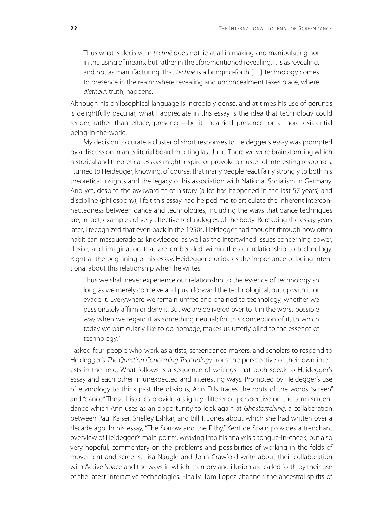Thus what is decisive in *technē* does not lie at all in making and manipulating nor in the using of means, but rather in the aforementioned revealing. It is as revealing, and not as manufacturing, that *technē* is a bringing-forth [. . .] Technology comes to presence in the realm where revealing and unconcealment takes place, where *aletheia*, truth, happens.<sup>1</sup>

Although his philosophical language is incredibly dense, and at times his use of gerunds is delightfully peculiar, what I appreciate in this essay is the idea that technology could render, rather than efface, presence—be it theatrical presence, or a more existential being-in-the-world.

My decision to curate a cluster of short responses to Heidegger's essay was prompted by a discussion in an editorial board meeting last June. There we were brainstorming which historical and theoretical essays might inspire or provoke a cluster of interesting responses. I turned to Heidegger, knowing, of course, that many people react fairly strongly to both his theoretical insights and the legacy of his association with National Socialism in Germany. And yet, despite the awkward fit of history (a lot has happened in the last 57 years) and discipline (philosophy), I felt this essay had helped me to articulate the inherent interconnectedness between dance and technologies, including the ways that dance techniques are, in fact, examples of very effective technologies of the body. Rereading the essay years later, I recognized that even back in the 1950s, Heidegger had thought through how often habit can masquerade as knowledge, as well as the intertwined issues concerning power, desire, and imagination that are embedded within the our relationship to technology. Right at the beginning of his essay, Heidegger elucidates the importance of being intentional about this relationship when he writes:

Thus we shall never experience our relationship to the essence of technology so long as we merely conceive and push forward the technological, put up with it, or evade it. Everywhere we remain unfree and chained to technology, whether we passionately affirm or deny it. But we are delivered over to it in the worst possible way when we regard it as something neutral; for this conception of it, to which today we particularly like to do homage, makes us utterly blind to the essence of technology.<sup>2</sup>

I asked four people who work as artists, screendance makers, and scholars to respond to Heidegger's *The Question Concerning Technology* from the perspective of their own interests in the field. What follows is a sequence of writings that both speak to Heidegger's essay and each other in unexpected and interesting ways. Prompted by Heidegger's use of etymology to think past the obvious, Ann Dils traces the roots of the words "screen" and "dance." These histories provide a slightly difference perspective on the term screendance which Ann uses as an opportunity to look again at *Ghostcatching*, a collaboration between Paul Kaiser, Shelley Eshkar, and Bill T. Jones about which she had written over a decade ago. In his essay, "The Sorrow and the Pithy," Kent de Spain provides a trenchant overview of Heidegger's main points, weaving into his analysis a tongue-in-cheek, but also very hopeful, commentary on the problems and possibilities of working in the folds of movement and screens. Lisa Naugle and John Crawford write about their collaboration with Active Space and the ways in which memory and illusion are called forth by their use of the latest interactive technologies. Finally, Tom Lopez channels the ancestral spirits of